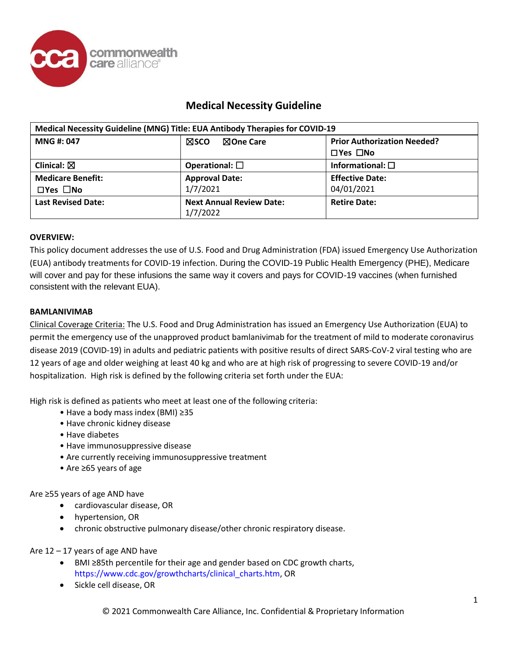

| Medical Necessity Guideline (MNG) Title: EUA Antibody Therapies for COVID-19 |                                             |                                    |
|------------------------------------------------------------------------------|---------------------------------------------|------------------------------------|
| <b>MNG#: 047</b>                                                             | ⊠sco<br>⊠One Care                           | <b>Prior Authorization Needed?</b> |
|                                                                              |                                             | $\Box$ Yes $\Box$ No               |
| Clinical: $\boxtimes$                                                        | Operational: $\square$                      | Informational: $\square$           |
| <b>Medicare Benefit:</b>                                                     | <b>Approval Date:</b>                       | <b>Effective Date:</b>             |
| $\Box$ Yes $\Box$ No                                                         | 1/7/2021                                    | 04/01/2021                         |
| <b>Last Revised Date:</b>                                                    | <b>Next Annual Review Date:</b><br>1/7/2022 | <b>Retire Date:</b>                |

## **OVERVIEW:**

This policy document addresses the use of U.S. Food and Drug Administration (FDA) issued Emergency Use Authorization (EUA) antibody treatments for COVID-19 infection. During the COVID-19 Public Health Emergency (PHE), Medicare will cover and pay for these infusions the same way it covers and pays for COVID-19 vaccines (when furnished consistent with the relevant EUA).

## **BAMLANIVIMAB**

Clinical Coverage Criteria: The U.S. Food and Drug Administration has issued an Emergency Use Authorization (EUA) to permit the emergency use of the unapproved product bamlanivimab for the treatment of mild to moderate coronavirus disease 2019 (COVID-19) in adults and pediatric patients with positive results of direct SARS-CoV-2 viral testing who are 12 years of age and older weighing at least 40 kg and who are at high risk of progressing to severe COVID-19 and/or hospitalization. High risk is defined by the following criteria set forth under the EUA:

High risk is defined as patients who meet at least one of the following criteria:

- Have a body mass index (BMI) ≥35
- Have chronic kidney disease
- Have diabetes
- Have immunosuppressive disease
- Are currently receiving immunosuppressive treatment
- Are ≥65 years of age

Are ≥55 years of age AND have

- cardiovascular disease, OR
- hypertension, OR
- chronic obstructive pulmonary disease/other chronic respiratory disease.

Are 12 – 17 years of age AND have

- BMI ≥85th percentile for their age and gender based on CDC growth charts, https:/[/www.cdc.gov/growthcharts/clinical\\_charts.htm,](http://www.cdc.gov/growthcharts/clinical_charts.htm) OR
- Sickle cell disease, OR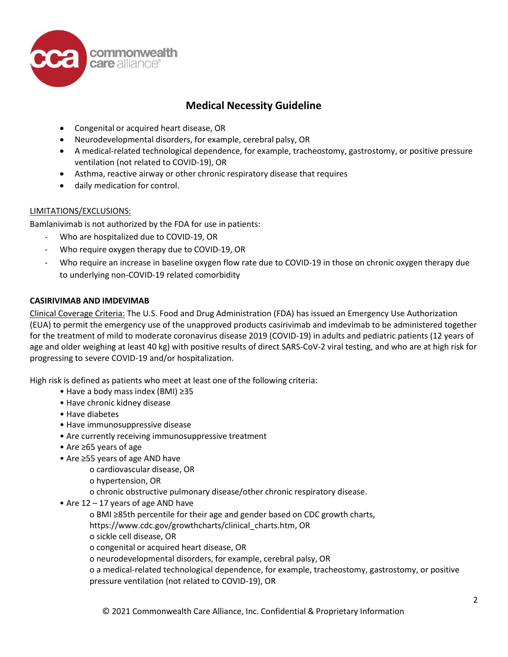

- Congenital or acquired heart disease, OR
- Neurodevelopmental disorders, for example, cerebral palsy, OR
- A medical-related technological dependence, for example, tracheostomy, gastrostomy, or positive pressure ventilation (not related to COVID-19), OR
- Asthma, reactive airway or other chronic respiratory disease that requires
- daily medication for control.

## LIMITATIONS/EXCLUSIONS:

Bamlanivimab is not authorized by the FDA for use in patients:

- Who are hospitalized due to COVID-19, OR
- Who require oxygen therapy due to COVID-19, OR
- Who require an increase in baseline oxygen flow rate due to COVID-19 in those on chronic oxygen therapy due to underlying non-COVID-19 related comorbidity

## **CASIRIVIMAB AND IMDEVIMAB**

Clinical Coverage Criteria: The U.S. Food and Drug Administration (FDA) has issued an Emergency Use Authorization (EUA) to permit the emergency use of the unapproved products casirivimab and imdevimab to be administered together for the treatment of mild to moderate coronavirus disease 2019 (COVID-19) in adults and pediatric patients (12 years of age and older weighing at least 40 kg) with positive results of direct SARS-CoV-2 viral testing, and who are at high risk for progressing to severe COVID-19 and/or hospitalization.

High risk is defined as patients who meet at least one of the following criteria:

- Have a body mass index (BMI) ≥35
- Have chronic kidney disease
- Have diabetes
- Have immunosuppressive disease
- Are currently receiving immunosuppressive treatment
- Are ≥65 years of age
- Are ≥55 years of age AND have
	- o cardiovascular disease, OR
	- o hypertension, OR
	- o chronic obstructive pulmonary disease/other chronic respiratory disease.
- Are 12 17 years of age AND have
	- o BMI ≥85th percentile for their age and gender based on CDC growth charts,
	- https:/[/www.cdc.gov/growthcharts/clinical\\_charts.htm,](http://www.cdc.gov/growthcharts/clinical_charts.htm) OR
	- o sickle cell disease, OR
	- o congenital or acquired heart disease, OR
	- o neurodevelopmental disorders, for example, cerebral palsy, OR
	- o a medical-related technological dependence, for example, tracheostomy, gastrostomy, or positive pressure ventilation (not related to COVID-19), OR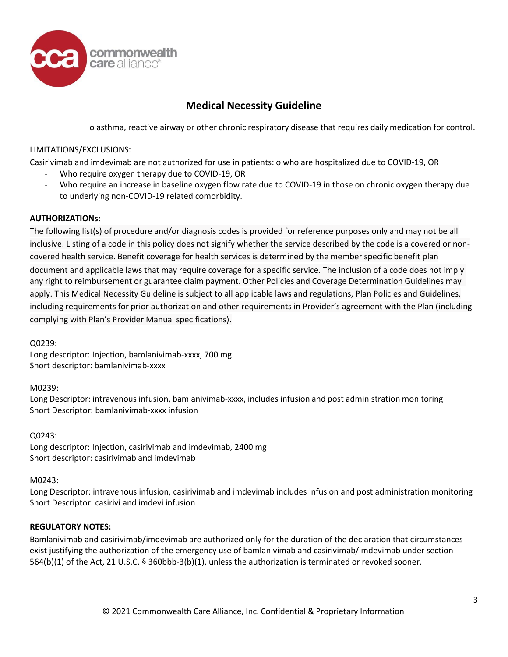

o asthma, reactive airway or other chronic respiratory disease that requires daily medication for control.

# LIMITATIONS/EXCLUSIONS:

Casirivimab and imdevimab are not authorized for use in patients: o who are hospitalized due to COVID-19, OR

- Who require oxygen therapy due to COVID-19, OR
- Who require an increase in baseline oxygen flow rate due to COVID-19 in those on chronic oxygen therapy due to underlying non-COVID-19 related comorbidity.

# **AUTHORIZATIONs:**

The following list(s) of procedure and/or diagnosis codes is provided for reference purposes only and may not be all inclusive. Listing of a code in this policy does not signify whether the service described by the code is a covered or noncovered health service. Benefit coverage for health services is determined by the member specific benefit plan apply. This Medical Necessity Guideline is subject to all applicable laws and regulations, Plan Policies and Guidelines, including requirements for prior authorization and other requirements in Provider's agreement with the Plan (including complying with Plan's Provider Manual specifications). document and applicable laws that may require coverage for a specific service. The inclusion of a code does not imply any right to reimbursement or guarantee claim payment. Other Policies and Coverage Determination Guidelines may

Q0239:

Long descriptor: Injection, bamlanivimab-xxxx, 700 mg Short descriptor: bamlanivimab-xxxx

M0239:

Long Descriptor: intravenous infusion, bamlanivimab-xxxx, includes infusion and post administration monitoring Short Descriptor: bamlanivimab-xxxx infusion

Q0243:

Long descriptor: Injection, casirivimab and imdevimab, 2400 mg Short descriptor: casirivimab and imdevimab

M0243:

Long Descriptor: intravenous infusion, casirivimab and imdevimab includes infusion and post administration monitoring Short Descriptor: casirivi and imdevi infusion

# **REGULATORY NOTES:**

Bamlanivimab and casirivimab/imdevimab are authorized only for the duration of the declaration that circumstances exist justifying the authorization of the emergency use of bamlanivimab and casirivimab/imdevimab under section 564(b)(1) of the Act, 21 U.S.C. § 360bbb-3(b)(1), unless the authorization is terminated or revoked sooner.